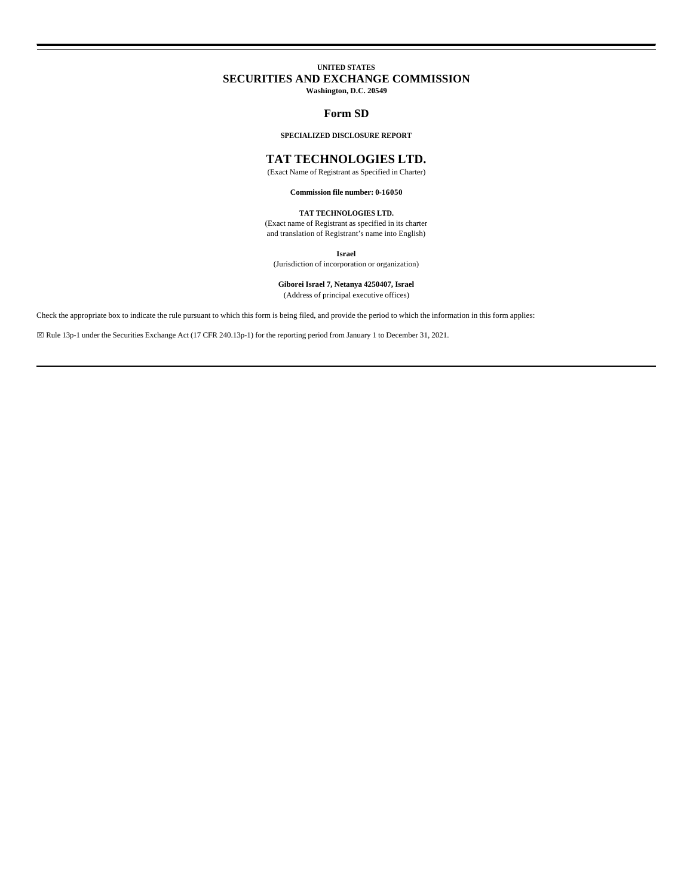# **UNITED STATES SECURITIES AND EXCHANGE COMMISSION Washington, D.C. 20549**

## **Form SD**

## **SPECIALIZED DISCLOSURE REPORT**

# **TAT TECHNOLOGIES LTD.**

(Exact Name of Registrant as Specified in Charter)

**Commission file number: 0-16050**

# **TAT TECHNOLOGIES LTD.**

(Exact name of Registrant as specified in its charter and translation of Registrant's name into English)

**Israel**

(Jurisdiction of incorporation or organization)

# **Giborei Israel 7, Netanya 4250407, Israel**

(Address of principal executive offices)

Check the appropriate box to indicate the rule pursuant to which this form is being filed, and provide the period to which the information in this form applies:

⌧ Rule 13p-1 under the Securities Exchange Act (17 CFR 240.13p-1) for the reporting period from January 1 to December 31, 2021.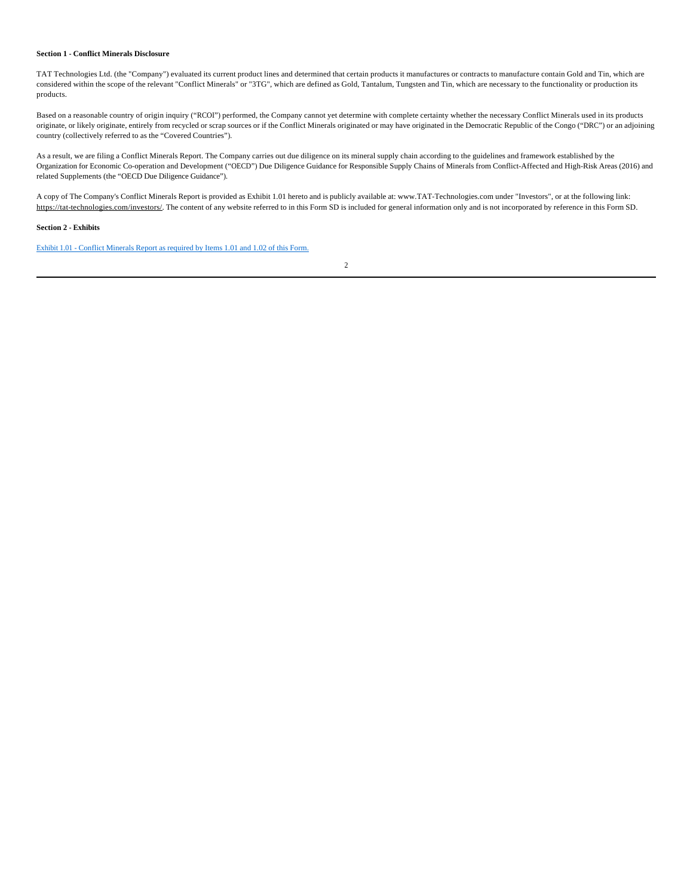#### **Section 1 - Conflict Minerals Disclosure**

TAT Technologies Ltd. (the "Company") evaluated its current product lines and determined that certain products it manufactures or contracts to manufacture contain Gold and Tin, which are considered within the scope of the relevant "Conflict Minerals" or "3TG", which are defined as Gold, Tantalum, Tungsten and Tin, which are necessary to the functionality or production its products.

Based on a reasonable country of origin inquiry ("RCOI") performed, the Company cannot yet determine with complete certainty whether the necessary Conflict Minerals used in its products originate, or likely originate, entirely from recycled or scrap sources or if the Conflict Minerals originated or may have originated in the Democratic Republic of the Congo ("DRC") or an adjoining country (collectively referred to as the "Covered Countries").

As a result, we are filing a Conflict Minerals Report. The Company carries out due diligence on its mineral supply chain according to the guidelines and framework established by the Organization for Economic Co-operation and Development ("OECD") Due Diligence Guidance for Responsible Supply Chains of Minerals from Conflict-Affected and High-Risk Areas (2016) and related Supplements (the "OECD Due Diligence Guidance").

A copy of The Company's Conflict Minerals Report is provided as Exhibit 1.01 hereto and is publicly available at: www.TAT-Technologies.com under "Investors", or at the following link: https://tat-technologies.com/investors/. The content of any website referred to in this Form SD is included for general information only and is not incorporated by reference in this Form SD.

## **Section 2 - Exhibits**

Exhibit 1.01 - Conflict Minerals Report as required by Items 1.01 and 1.02 of this Form.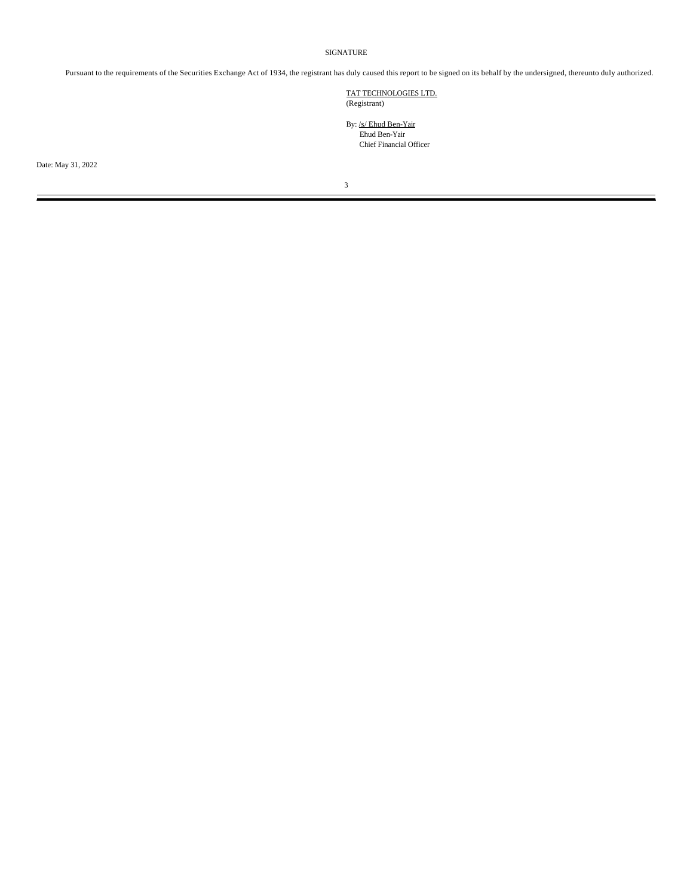# SIGNATURE

Pursuant to the requirements of the Securities Exchange Act of 1934, the registrant has duly caused this report to be signed on its behalf by the undersigned, thereunto duly authorized.

TAT TECHNOLOGIES LTD. (Registrant)

By: /s/ Ehud Ben-Yair Ehud Ben-Yair Chief Financial Officer

Date: May 31, 2022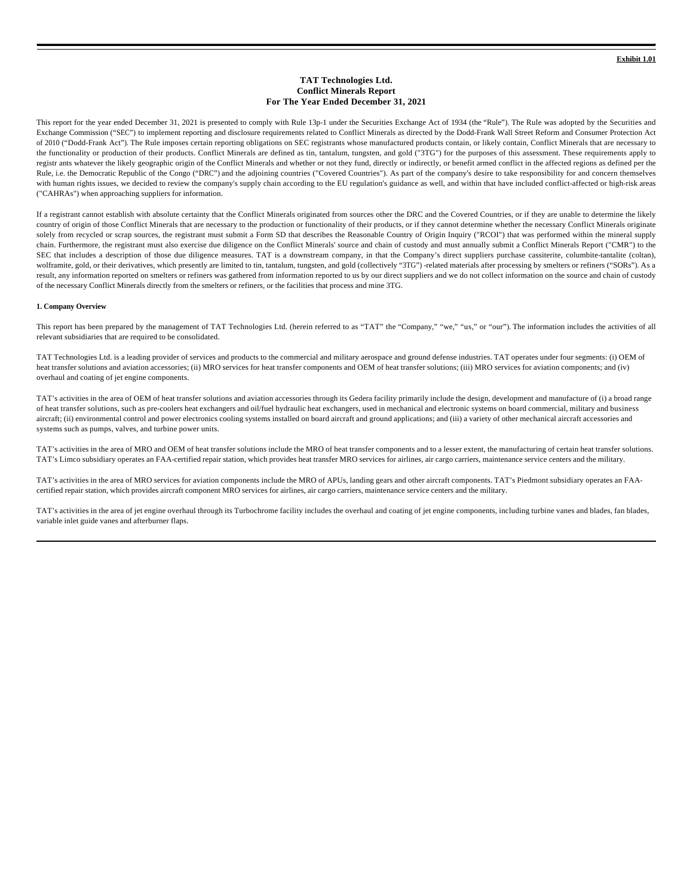## **TAT Technologies Ltd. Conflict Minerals Report For The Year Ended December 31, 2021**

This report for the year ended December 31, 2021 is presented to comply with Rule 13p-1 under the Securities Exchange Act of 1934 (the "Rule"). The Rule was adopted by the Securities and Exchange Commission ("SEC") to implement reporting and disclosure requirements related to Conflict Minerals as directed by the Dodd-Frank Wall Street Reform and Consumer Protection Act of 2010 ("Dodd-Frank Act"). The Rule imposes certain reporting obligations on SEC registrants whose manufactured products contain, or likely contain, Conflict Minerals that are necessary to the functionality or production of their products. Conflict Minerals are defined as tin, tantalum, tungsten, and gold ("3TG") for the purposes of this assessment. These requirements apply to registr ants whatever the likely geographic origin of the Conflict Minerals and whether or not they fund, directly or indirectly, or benefit armed conflict in the affected regions as defined per the Rule, i.e. the Democratic Republic of the Congo ("DRC") and the adjoining countries ("Covered Countries"). As part of the company's desire to take responsibility for and concern themselves with human rights issues, we decided to review the company's supply chain according to the EU regulation's guidance as well, and within that have included conflict-affected or high-risk areas ("CAHRAs") when approaching suppliers for information.

If a registrant cannot establish with absolute certainty that the Conflict Minerals originated from sources other the DRC and the Covered Countries, or if they are unable to determine the likely country of origin of those Conflict Minerals that are necessary to the production or functionality of their products, or if they cannot determine whether the necessary Conflict Minerals originate solely from recycled or scrap sources, the registrant must submit a Form SD that describes the Reasonable Country of Origin Inquiry ("RCOI") that was performed within the mineral supply chain. Furthermore, the registrant must also exercise due diligence on the Conflict Minerals' source and chain of custody and must annually submit a Conflict Minerals Report ("CMR") to the SEC that includes a description of those due diligence measures. TAT is a downstream company, in that the Company's direct suppliers purchase cassiterite, columbite-tantalite (coltan), wolframite, gold, or their derivatives, which presently are limited to tin, tantalum, tungsten, and gold (collectively "3TG") -related materials after processing by smelters or refiners ("SORs"). As a result, any information reported on smelters or refiners was gathered from information reported to us by our direct suppliers and we do not collect information on the source and chain of custody of the necessary Conflict Minerals directly from the smelters or refiners, or the facilities that process and mine 3TG.

#### **1. Company Overview**

This report has been prepared by the management of TAT Technologies Ltd. (herein referred to as "TAT" the "Company," "we," "us," or "our"). The information includes the activities of all relevant subsidiaries that are required to be consolidated.

TAT Technologies Ltd. is a leading provider of services and products to the commercial and military aerospace and ground defense industries. TAT operates under four segments: (i) OEM of heat transfer solutions and aviation accessories; (ii) MRO services for heat transfer components and OEM of heat transfer solutions; (iii) MRO services for aviation components; and (iv) overhaul and coating of jet engine components.

TAT's activities in the area of OEM of heat transfer solutions and aviation accessories through its Gedera facility primarily include the design, development and manufacture of (i) a broad range of heat transfer solutions, such as pre-coolers heat exchangers and oil/fuel hydraulic heat exchangers, used in mechanical and electronic systems on board commercial, military and business aircraft; (ii) environmental control and power electronics cooling systems installed on board aircraft and ground applications; and (iii) a variety of other mechanical aircraft accessories and systems such as pumps, valves, and turbine power units.

TAT's activities in the area of MRO and OEM of heat transfer solutions include the MRO of heat transfer components and to a lesser extent, the manufacturing of certain heat transfer solutions. TAT's Limco subsidiary operates an FAA-certified repair station, which provides heat transfer MRO services for airlines, air cargo carriers, maintenance service centers and the military.

TAT's activities in the area of MRO services for aviation components include the MRO of APUs, landing gears and other aircraft components. TAT's Piedmont subsidiary operates an FAAcertified repair station, which provides aircraft component MRO services for airlines, air cargo carriers, maintenance service centers and the military.

TAT's activities in the area of jet engine overhaul through its Turbochrome facility includes the overhaul and coating of jet engine components, including turbine vanes and blades, fan blades, variable inlet guide vanes and afterburner flaps.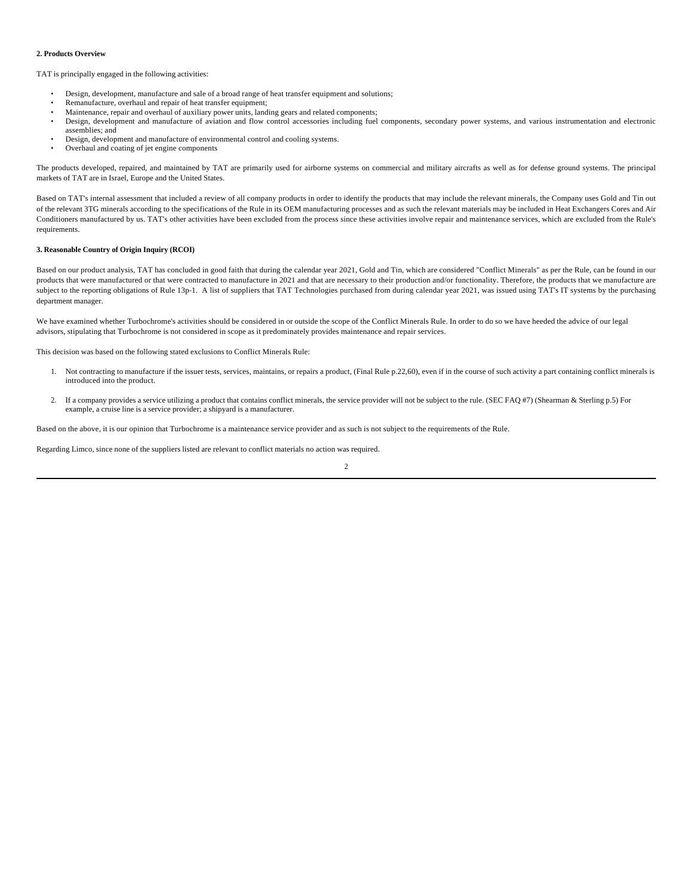## **2. Products Overview**

TAT is principally engaged in the following activities:

- Design, development, manufacture and sale of a broad range of heat transfer equipment and solutions;
- Remanufacture, overhaul and repair of heat transfer equipment;
- Maintenance, repair and overhaul of auxiliary power units, landing gears and related components;
- Design, development and manufacture of aviation and flow control accessories including fuel components, secondary power systems, and various instrumentation and electronic assemblies; and
- Design, development and manufacture of environmental control and cooling systems.
- Overhaul and coating of jet engine components

The products developed, repaired, and maintained by TAT are primarily used for airborne systems on commercial and military aircrafts as well as for defense ground systems. The principal markets of TAT are in Israel, Europe and the United States.

Based on TAT's internal assessment that included a review of all company products in order to identify the products that may include the relevant minerals, the Company uses Gold and Tin out of the relevant 3TG minerals according to the specifications of the Rule in its OEM manufacturing processes and as such the relevant materials may be included in Heat Exchangers Cores and Air Conditioners manufactured by us. TAT's other activities have been excluded from the process since these activities involve repair and maintenance services, which are excluded from the Rule's requirements.

## **3. Reasonable Country of Origin Inquiry (RCOI)**

Based on our product analysis, TAT has concluded in good faith that during the calendar year 2021, Gold and Tin, which are considered "Conflict Minerals" as per the Rule, can be found in our products that were manufactured or that were contracted to manufacture in 2021 and that are necessary to their production and/or functionality. Therefore, the products that we manufacture are subject to the reporting obligations of Rule 13p-1. A list of suppliers that TAT Technologies purchased from during calendar year 2021, was issued using TAT's IT systems by the purchasing department manager.

We have examined whether Turbochrome's activities should be considered in or outside the scope of the Conflict Minerals Rule. In order to do so we have heeded the advice of our legal advisors, stipulating that Turbochrome is not considered in scope as it predominately provides maintenance and repair services.

This decision was based on the following stated exclusions to Conflict Minerals Rule:

- 1. Not contracting to manufacture if the issuer tests, services, maintains, or repairs a product, (Final Rule p.22,60), even if in the course of such activity a part containing conflict minerals is introduced into the product.
- 2. If a company provides a service utilizing a product that contains conflict minerals, the service provider will not be subject to the rule. (SEC FAQ #7) (Shearman & Sterling p.5) For example, a cruise line is a service provider; a shipyard is a manufacturer.

Based on the above, it is our opinion that Turbochrome is a maintenance service provider and as such is not subject to the requirements of the Rule.

Regarding Limco, since none of the suppliers listed are relevant to conflict materials no action was required.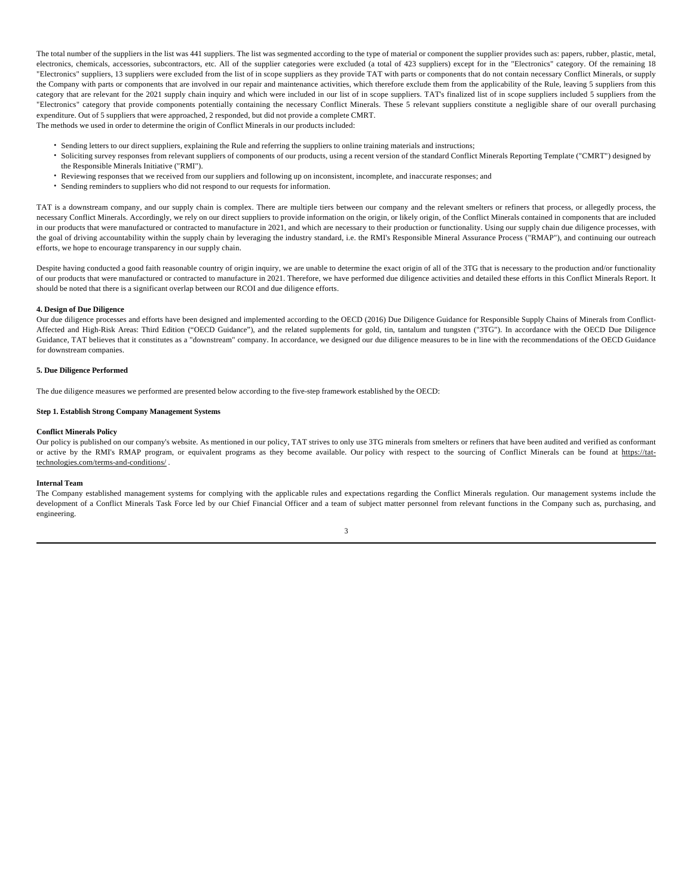The total number of the suppliers in the list was 441 suppliers. The list was segmented according to the type of material or component the supplier provides such as: papers, rubber, plastic, metal, electronics, chemicals, accessories, subcontractors, etc. All of the supplier categories were excluded (a total of 423 suppliers) except for in the "Electronics" category. Of the remaining 18 "Electronics" suppliers, 13 suppliers were excluded from the list of in scope suppliers as they provide TAT with parts or components that do not contain necessary Conflict Minerals, or supply the Company with parts or components that are involved in our repair and maintenance activities, which therefore exclude them from the applicability of the Rule, leaving 5 suppliers from this category that are relevant for the 2021 supply chain inquiry and which were included in our list of in scope suppliers. TAT's finalized list of in scope suppliers included 5 suppliers from the "Electronics" category that provide components potentially containing the necessary Conflict Minerals. These 5 relevant suppliers constitute a negligible share of our overall purchasing expenditure. Out of 5 suppliers that were approached, 2 responded, but did not provide a complete CMRT. The methods we used in order to determine the origin of Conflict Minerals in our products included:

- Sending letters to our direct suppliers, explaining the Rule and referring the suppliers to online training materials and instructions;
- Soliciting survey responses from relevant suppliers of components of our products, using a recent version of the standard Conflict Minerals Reporting Template ("CMRT") designed by the Responsible Minerals Initiative ("RMI").
- Reviewing responses that we received from our suppliers and following up on inconsistent, incomplete, and inaccurate responses; and
- Sending reminders to suppliers who did not respond to our requests for information.

TAT is a downstream company, and our supply chain is complex. There are multiple tiers between our company and the relevant smelters or refiners that process, or allegedly process, the necessary Conflict Minerals. Accordingly, we rely on our direct suppliers to provide information on the origin, or likely origin, of the Conflict Minerals contained in components that are included in our products that were manufactured or contracted to manufacture in 2021, and which are necessary to their production or functionality. Using our supply chain due diligence processes, with the goal of driving accountability within the supply chain by leveraging the industry standard, i.e. the RMI's Responsible Mineral Assurance Process ("RMAP"), and continuing our outreach efforts, we hope to encourage transparency in our supply chain.

Despite having conducted a good faith reasonable country of origin inquiry, we are unable to determine the exact origin of all of the 3TG that is necessary to the production and/or functionality of our products that were manufactured or contracted to manufacture in 2021. Therefore, we have performed due diligence activities and detailed these efforts in this Conflict Minerals Report. It should be noted that there is a significant overlap between our RCOI and due diligence efforts.

### **4. Design of Due Diligence**

Our due diligence processes and efforts have been designed and implemented according to the OECD (2016) Due Diligence Guidance for Responsible Supply Chains of Minerals from Conflict-Affected and High-Risk Areas: Third Edition ("OECD Guidance"), and the related supplements for gold, tin, tantalum and tungsten ("3TG"). In accordance with the OECD Due Diligence Guidance, TAT believes that it constitutes as a "downstream" company. In accordance, we designed our due diligence measures to be in line with the recommendations of the OECD Guidance for downstream companies.

## **5. Due Diligence Performed**

The due diligence measures we performed are presented below according to the five-step framework established by the OECD:

## **Step 1. Establish Strong Company Management Systems**

#### **Conflict Minerals Policy**

Our policy is published on our company's website. As mentioned in our policy, TAT strives to only use 3TG minerals from smelters or refiners that have been audited and verified as conformant or active by the RMI's RMAP program, or equivalent programs as they become available. Our policy with respect to the sourcing of Conflict Minerals can be found at https://tattechnologies.com/terms-and-conditions/ .

## **Internal Team**

The Company established management systems for complying with the applicable rules and expectations regarding the Conflict Minerals regulation. Our management systems include the development of a Conflict Minerals Task Force led by our Chief Financial Officer and a team of subject matter personnel from relevant functions in the Company such as, purchasing, and engineering.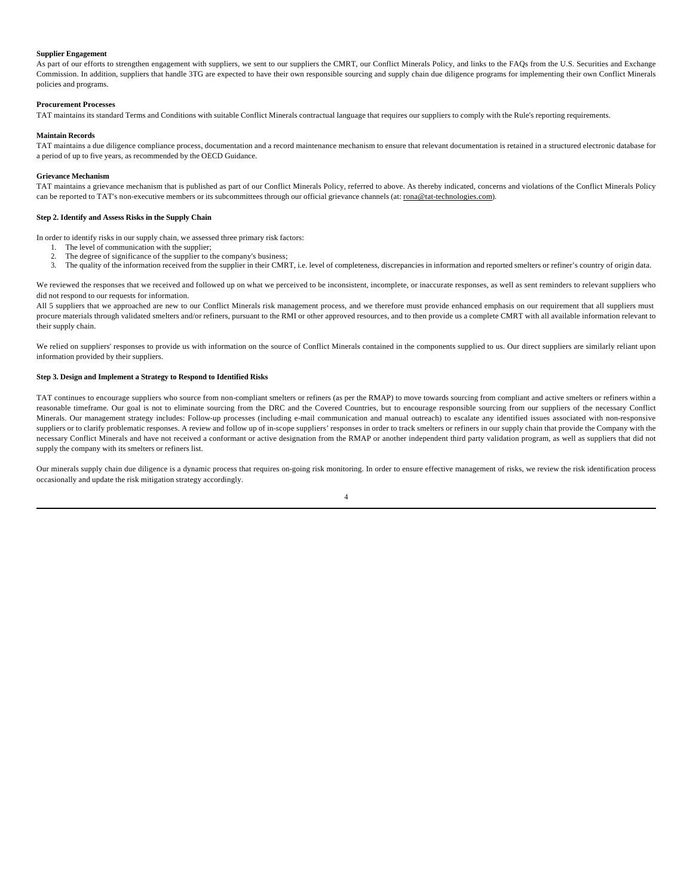## **Supplier Engagement**

As part of our efforts to strengthen engagement with suppliers, we sent to our suppliers the CMRT, our Conflict Minerals Policy, and links to the FAQs from the U.S. Securities and Exchange Commission. In addition, suppliers that handle 3TG are expected to have their own responsible sourcing and supply chain due diligence programs for implementing their own Conflict Minerals policies and programs.

# **Procurement Processes**

TAT maintains its standard Terms and Conditions with suitable Conflict Minerals contractual language that requires our suppliers to comply with the Rule's reporting requirements.

## **Maintain Records**

TAT maintains a due diligence compliance process, documentation and a record maintenance mechanism to ensure that relevant documentation is retained in a structured electronic database for a period of up to five years, as recommended by the OECD Guidance.

## **Grievance Mechanism**

TAT maintains a grievance mechanism that is published as part of our Conflict Minerals Policy, referred to above. As thereby indicated, concerns and violations of the Conflict Minerals Policy can be reported to TAT's non-executive members or its subcommittees through our official grievance channels (at: rona@tat-technologies.com).

## **Step 2. Identify and Assess Risks in the Supply Chain**

In order to identify risks in our supply chain, we assessed three primary risk factors:

- 1. The level of communication with the supplier;
- 2. The degree of significance of the supplier to the company's business;
- 3. The quality of the information received from the supplier in their CMRT, i.e. level of completeness, discrepancies in information and reported smelters or refiner's country of origin data.

We reviewed the responses that we received and followed up on what we perceived to be inconsistent, incomplete, or inaccurate responses, as well as sent reminders to relevant suppliers who did not respond to our requests for information.

All 5 suppliers that we approached are new to our Conflict Minerals risk management process, and we therefore must provide enhanced emphasis on our requirement that all suppliers must procure materials through validated smelters and/or refiners, pursuant to the RMI or other approved resources, and to then provide us a complete CMRT with all available information relevant to their supply chain.

We relied on suppliers' responses to provide us with information on the source of Conflict Minerals contained in the components supplied to us. Our direct suppliers are similarly reliant upon information provided by their suppliers.

## **Step 3. Design and Implement a Strategy to Respond to Identified Risks**

TAT continues to encourage suppliers who source from non-compliant smelters or refiners (as per the RMAP) to move towards sourcing from compliant and active smelters or refiners within a reasonable timeframe. Our goal is not to eliminate sourcing from the DRC and the Covered Countries, but to encourage responsible sourcing from our suppliers of the necessary Conflict Minerals. Our management strategy includes: Follow-up processes (including e-mail communication and manual outreach) to escalate any identified issues associated with non-responsive suppliers or to clarify problematic responses. A review and follow up of in-scope suppliers' responses in order to track smelters or refiners in our supply chain that provide the Company with the necessary Conflict Minerals and have not received a conformant or active designation from the RMAP or another independent third party validation program, as well as suppliers that did not supply the company with its smelters or refiners list.

Our minerals supply chain due diligence is a dynamic process that requires on-going risk monitoring. In order to ensure effective management of risks, we review the risk identification process occasionally and update the risk mitigation strategy accordingly.